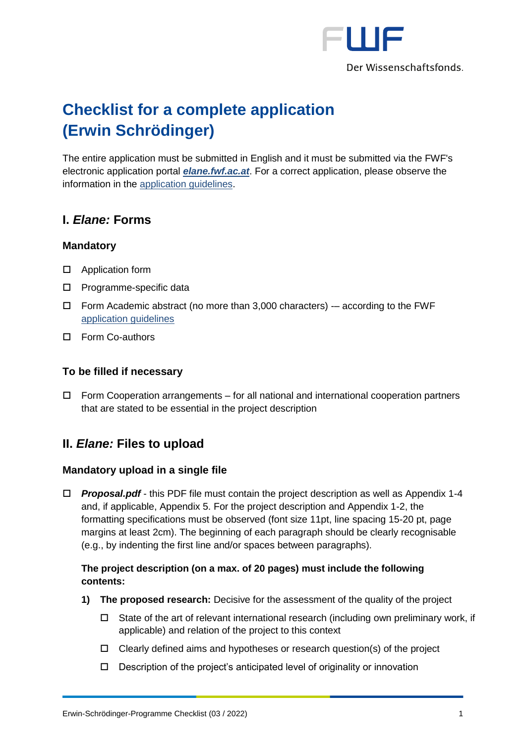

# **Checklist for a complete application (Erwin Schrödinger)**

The entire application must be submitted in English and it must be submitted via the FWF's electronic application portal *[elane.fwf.ac.at](https://elane.fwf.ac.at/)*. For a correct application, please observe the information in the [application guidelines.](https://www.fwf.ac.at/fileadmin/files/Dokumente/Antragstellung/Schroedinger-Programm/j_application-guidelines.pdf)

# **I.** *Elane:* **Forms**

## **Mandatory**

- □ Application form
- □ Programme-specific data
- $\Box$  Form Academic abstract (no more than 3,000 characters) -- according to the FWF [application guidelines](https://www.fwf.ac.at/fileadmin/files/Dokumente/Antragstellung/Schroedinger-Programm/j_application-guidelines.pdf)
- Form Co-authors

# **To be filled if necessary**

 $\Box$  Form Cooperation arrangements – for all national and international cooperation partners that are stated to be essential in the project description

# **II.** *Elane:* **Files to upload**

## **Mandatory upload in a single file**

 *Proposal.pdf* - this PDF file must contain the project description as well as Appendix 1-4 and, if applicable, Appendix 5. For the project description and Appendix 1-2, the formatting specifications must be observed (font size 11pt, line spacing 15-20 pt, page margins at least 2cm). The beginning of each paragraph should be clearly recognisable (e.g., by indenting the first line and/or spaces between paragraphs).

## **The project description (on a max. of 20 pages) must include the following contents:**

- **1) The proposed research:** Decisive for the assessment of the quality of the project
	- $\Box$  State of the art of relevant international research (including own preliminary work, if applicable) and relation of the project to this context
	- $\Box$  Clearly defined aims and hypotheses or research question(s) of the project
	- $\Box$  Description of the project's anticipated level of originality or innovation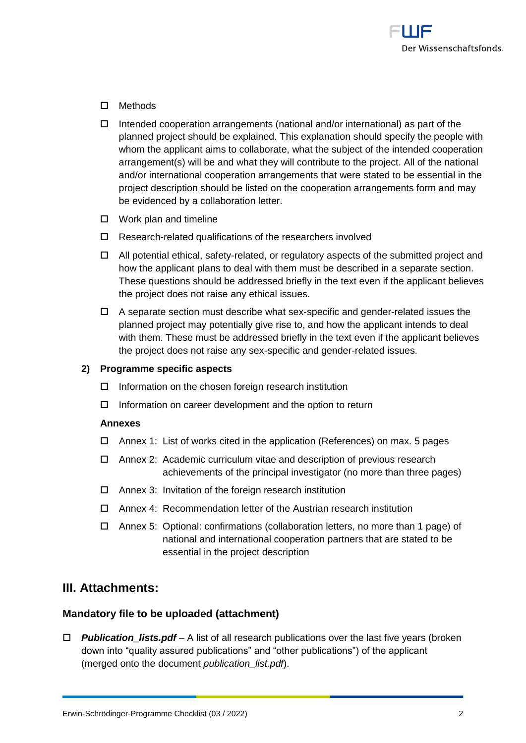

#### □ Methods

- $\Box$  Intended cooperation arrangements (national and/or international) as part of the planned project should be explained. This explanation should specify the people with whom the applicant aims to collaborate, what the subject of the intended cooperation arrangement(s) will be and what they will contribute to the project. All of the national and/or international cooperation arrangements that were stated to be essential in the project description should be listed on the cooperation arrangements form and may be evidenced by a collaboration letter.
- □ Work plan and timeline
- $\Box$  Research-related qualifications of the researchers involved
- $\Box$  All potential ethical, safety-related, or regulatory aspects of the submitted project and how the applicant plans to deal with them must be described in a separate section. These questions should be addressed briefly in the text even if the applicant believes the project does not raise any ethical issues.
- $\Box$  A separate section must describe what sex-specific and gender-related issues the planned project may potentially give rise to, and how the applicant intends to deal with them. These must be addressed briefly in the text even if the applicant believes the project does not raise any sex-specific and gender-related issues.

#### **2) Programme specific aspects**

- Information on the chosen foreign research institution
- $\Box$  Information on career development and the option to return

#### **Annexes**

- $\Box$  Annex 1: List of works cited in the application (References) on max. 5 pages
- Annex 2: Academic curriculum vitae and description of previous research achievements of the principal investigator (no more than three pages)
- $\Box$  Annex 3: Invitation of the foreign research institution
- Annex 4: Recommendation letter of the Austrian research institution
- Annex 5: Optional: confirmations (collaboration letters, no more than 1 page) of national and international cooperation partners that are stated to be essential in the project description

# **III. Attachments:**

#### **Mandatory file to be uploaded (attachment)**

 *Publication\_lists.pdf* – A list of all research publications over the last five years (broken down into "quality assured publications" and "other publications") of the applicant (merged onto the document *publication\_list.pdf*).